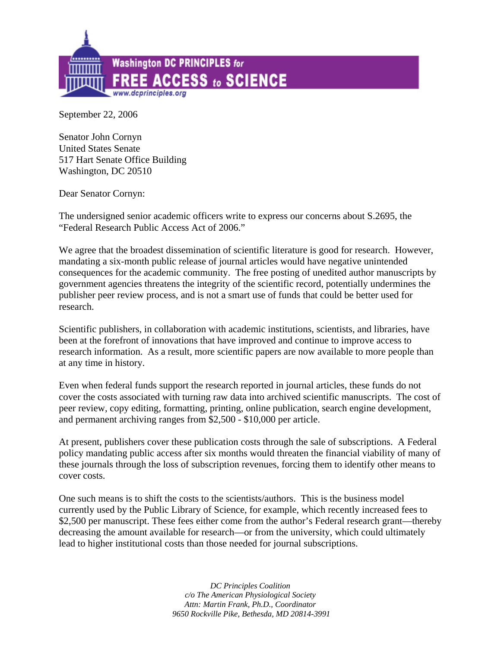

September 22, 2006

Senator John Cornyn United States Senate 517 Hart Senate Office Building Washington, DC 20510

Dear Senator Cornyn:

The undersigned senior academic officers write to express our concerns about S.2695, the "Federal Research Public Access Act of 2006."

We agree that the broadest dissemination of scientific literature is good for research. However, mandating a six-month public release of journal articles would have negative unintended consequences for the academic community. The free posting of unedited author manuscripts by government agencies threatens the integrity of the scientific record, potentially undermines the publisher peer review process, and is not a smart use of funds that could be better used for research.

Scientific publishers, in collaboration with academic institutions, scientists, and libraries, have been at the forefront of innovations that have improved and continue to improve access to research information. As a result, more scientific papers are now available to more people than at any time in history.

Even when federal funds support the research reported in journal articles, these funds do not cover the costs associated with turning raw data into archived scientific manuscripts. The cost of peer review, copy editing, formatting, printing, online publication, search engine development, and permanent archiving ranges from \$2,500 - \$10,000 per article.

At present, publishers cover these publication costs through the sale of subscriptions. A Federal policy mandating public access after six months would threaten the financial viability of many of these journals through the loss of subscription revenues, forcing them to identify other means to cover costs.

One such means is to shift the costs to the scientists/authors. This is the business model currently used by the Public Library of Science, for example, which recently increased fees to \$2,500 per manuscript. These fees either come from the author's Federal research grant—thereby decreasing the amount available for research—or from the university, which could ultimately lead to higher institutional costs than those needed for journal subscriptions.

> *DC Principles Coalition c/o The American Physiological Society Attn: Martin Frank, Ph.D., Coordinator 9650 Rockville Pike, Bethesda, MD 20814-3991*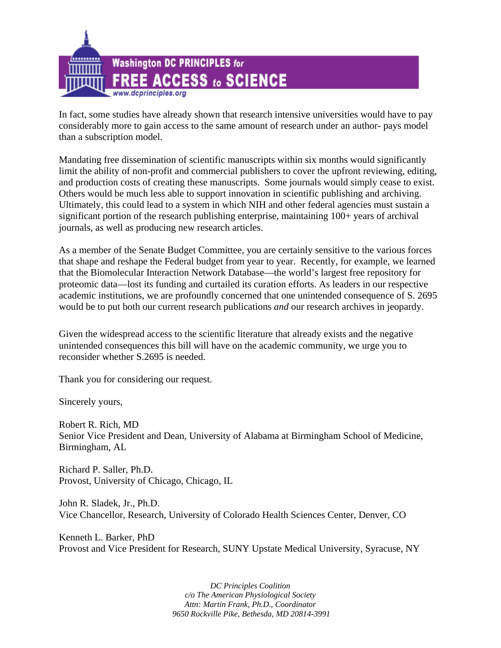

In fact, some studies have already shown that research intensive universities would have to pay considerably more to gain access to the same amount of research under an author- pays model than a subscription model.

Mandating free dissemination of scientific manuscripts within six months would significantly limit the ability of non-profit and commercial publishers to cover the upfront reviewing, editing, and production costs of creating these manuscripts. Some journals would simply cease to exist. Others would be much less able to support innovation in scientific publishing and archiving. Ultimately, this could lead to a system in which NIH and other federal agencies must sustain a significant portion of the research publishing enterprise, maintaining 100+ years of archival journals, as well as producing new research articles.

As a member of the Senate Budget Committee, you are certainly sensitive to the various forces that shape and reshape the Federal budget from year to year. Recently, for example, we learned that the Biomolecular Interaction Network Database—the world's largest free repository for proteomic data—lost its funding and curtailed its curation efforts. As leaders in our respective academic institutions, we are profoundly concerned that one unintended consequence of S. 2695 would be to put both our current research publications *and* our research archives in jeopardy.

Given the widespread access to the scientific literature that already exists and the negative unintended consequences this bill will have on the academic community, we urge you to reconsider whether S.2695 is needed.

Thank you for considering our request.

Sincerely yours,

Robert R. Rich, MD Senior Vice President and Dean, University of Alabama at Birmingham School of Medicine, Birmingham, AL

Richard P. Saller, Ph.D. Provost, University of Chicago, Chicago, IL

John R. Sladek, Jr., Ph.D. Vice Chancellor, Research, University of Colorado Health Sciences Center, Denver, CO

Kenneth L. Barker, PhD Provost and Vice President for Research, SUNY Upstate Medical University, Syracuse, NY

> *DC Principles Coalition c/o The American Physiological Society Attn: Martin Frank, Ph.D., Coordinator 9650 Rockville Pike, Bethesda, MD 20814-3991*